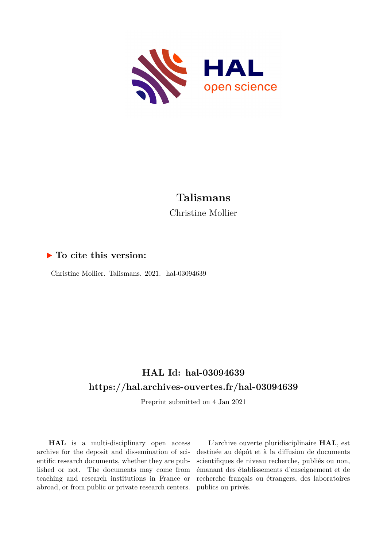

# **Talismans** Christine Mollier

### **To cite this version:**

 $\vert$  Christine Mollier. Talismans. 2021. hal-03094639

## **HAL Id: hal-03094639 <https://hal.archives-ouvertes.fr/hal-03094639>**

Preprint submitted on 4 Jan 2021

**HAL** is a multi-disciplinary open access archive for the deposit and dissemination of scientific research documents, whether they are published or not. The documents may come from teaching and research institutions in France or abroad, or from public or private research centers.

L'archive ouverte pluridisciplinaire **HAL**, est destinée au dépôt et à la diffusion de documents scientifiques de niveau recherche, publiés ou non, émanant des établissements d'enseignement et de recherche français ou étrangers, des laboratoires publics ou privés.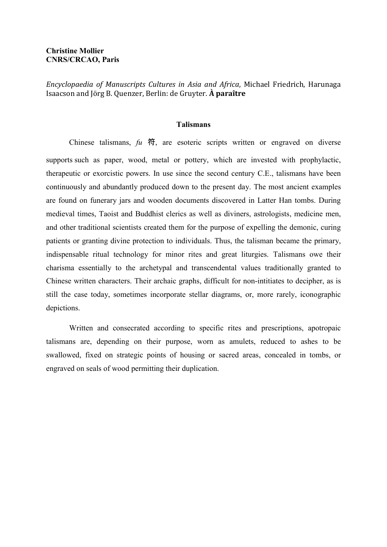#### **Christine Mollier CNRS/CRCAO, Paris**

*Encyclopaedia of Manuscripts Cultures in Asia and Africa*, Michael Friedrich, Harunaga Isaacson and Jörg B. Quenzer, Berlin: de Gruyter. **À paraître**

#### **Talismans**

Chinese talismans, *fu* 符, are esoteric scripts written or engraved on diverse supports such as paper, wood, metal or pottery, which are invested with prophylactic, therapeutic or exorcistic powers. In use since the second century C.E., talismans have been continuously and abundantly produced down to the present day. The most ancient examples are found on funerary jars and wooden documents discovered in Latter Han tombs. During medieval times, Taoist and Buddhist clerics as well as diviners, astrologists, medicine men, and other traditional scientists created them for the purpose of expelling the demonic, curing patients or granting divine protection to individuals. Thus, the talisman became the primary, indispensable ritual technology for minor rites and great liturgies. Talismans owe their charisma essentially to the archetypal and transcendental values traditionally granted to Chinese written characters. Their archaic graphs, difficult for non-intitiates to decipher, as is still the case today, sometimes incorporate stellar diagrams, or, more rarely, iconographic depictions.

Written and consecrated according to specific rites and prescriptions, apotropaic talismans are, depending on their purpose, worn as amulets, reduced to ashes to be swallowed, fixed on strategic points of housing or sacred areas, concealed in tombs, or engraved on seals of wood permitting their duplication.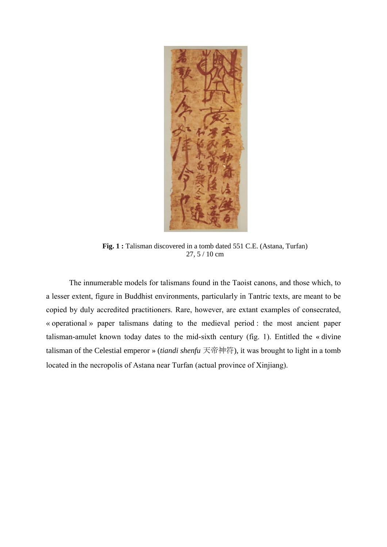

**Fig. 1 :** Talisman discovered in a tomb dated 551 C.E. (Astana, Turfan) 27, 5 / 10 cm

The innumerable models for talismans found in the Taoist canons, and those which, to a lesser extent, figure in Buddhist environments, particularly in Tantric texts, are meant to be copied by duly accredited practitioners. Rare, however, are extant examples of consecrated, « operational » paper talismans dating to the medieval period : the most ancient paper talisman-amulet known today dates to the mid-sixth century (fig. 1). Entitled the « divine talisman of the Celestial emperor » (*tiandi shenfu* 天帝神符), it was brought to light in a tomb located in the necropolis of Astana near Turfan (actual province of Xinjiang).